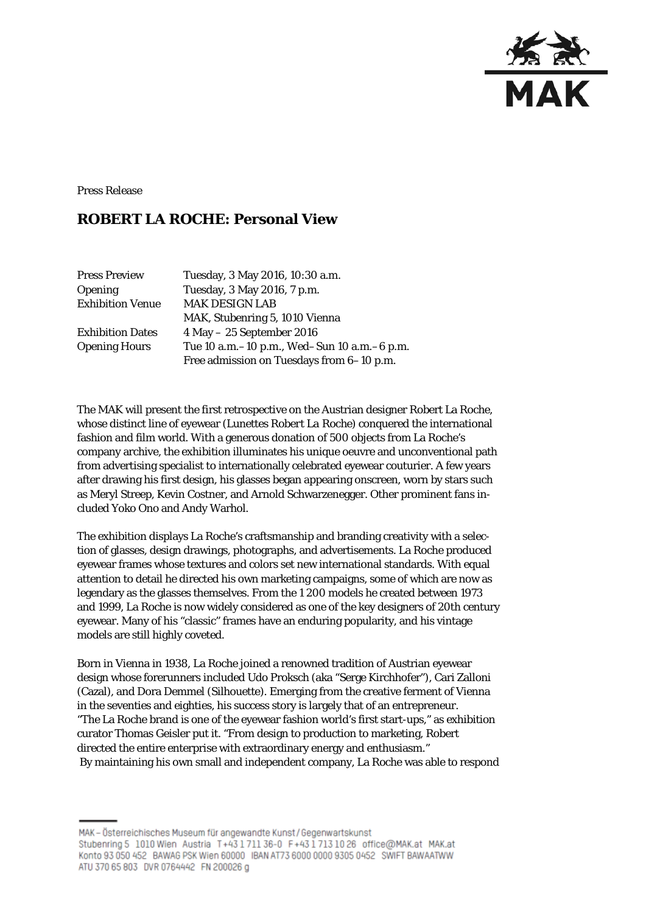

Press Release

# **ROBERT LA ROCHE: Personal View**

| <b>Press Preview</b>    | Tuesday, 3 May 2016, 10:30 a.m.               |
|-------------------------|-----------------------------------------------|
| <b>Opening</b>          | Tuesday, 3 May 2016, 7 p.m.                   |
| <b>Exhibition Venue</b> | <b>MAK DESIGN LAB</b>                         |
|                         | MAK, Stubenring 5, 1010 Vienna                |
| <b>Exhibition Dates</b> | $4$ May $- 25$ September 2016                 |
| <b>Opening Hours</b>    | Tue 10 a.m. -10 p.m., Wed-Sun 10 a.m. -6 p.m. |
|                         | Free admission on Tuesdays from 6-10 p.m.     |

The MAK will present the first retrospective on the Austrian designer Robert La Roche, whose distinct line of eyewear (*Lunettes Robert La Roche*) conquered the international fashion and film world. With a generous donation of 500 objects from La Roche's company archive, the exhibition illuminates his unique oeuvre and unconventional path from advertising specialist to internationally celebrated eyewear couturier. A few years after drawing his first design, his glasses began appearing onscreen, worn by stars such as Meryl Streep, Kevin Costner, and Arnold Schwarzenegger. Other prominent fans included Yoko Ono and Andy Warhol.

The exhibition displays La Roche's craftsmanship and branding creativity with a selection of glasses, design drawings, photographs, and advertisements. La Roche produced eyewear frames whose textures and colors set new international standards. With equal attention to detail he directed his own marketing campaigns, some of which are now as legendary as the glasses themselves. From the 1 200 models he created between 1973 and 1999, La Roche is now widely considered as one of the key designers of 20th century eyewear. Many of his "classic" frames have an enduring popularity, and his vintage models are still highly coveted.

Born in Vienna in 1938, La Roche joined a renowned tradition of Austrian eyewear design whose forerunners included Udo Proksch (aka "Serge Kirchhofer"), Cari Zalloni (Cazal), and Dora Demmel (Silhouette). Emerging from the creative ferment of Vienna in the seventies and eighties, his success story is largely that of an entrepreneur. "The La Roche brand is one of the eyewear fashion world's first start-ups," as exhibition curator Thomas Geisler put it. "From design to production to marketing, Robert directed the entire enterprise with extraordinary energy and enthusiasm." By maintaining his own small and independent company, La Roche was able to respond

MAK-Österreichisches Museum für angewandte Kunst/Gegenwartskunst Stubenring 5 1010 Wien Austria T+43 1 711 36-0 F+43 1 713 10 26 office@MAK.at MAK.at Konto 93 050 452 BAWAG PSK Wien 60000 IBAN AT73 6000 0000 9305 0452 SWIFT BAWAATWW ATU 370 65 803 DVR 0764442 FN 200026 g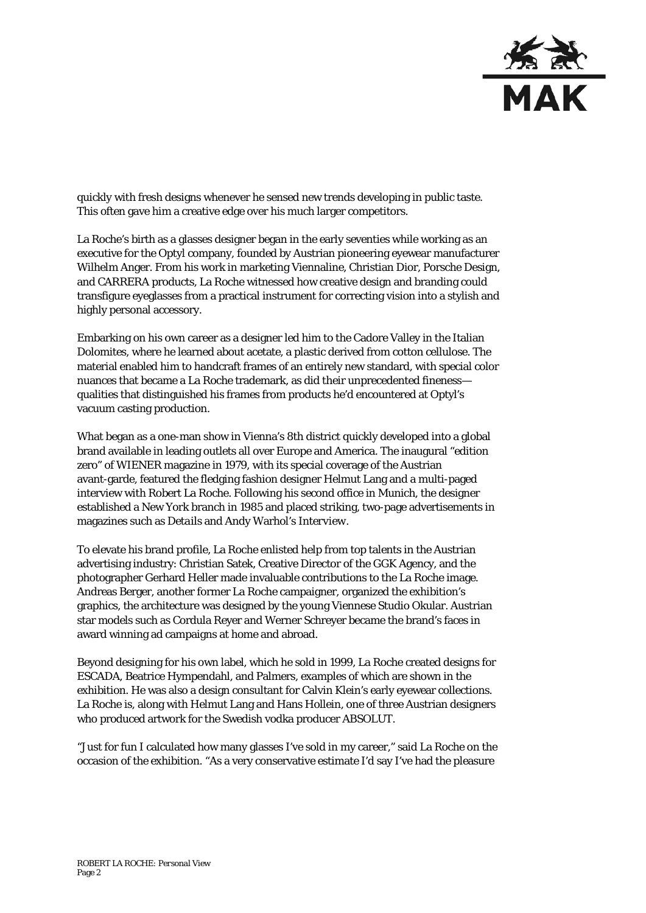

quickly with fresh designs whenever he sensed new trends developing in public taste. This often gave him a creative edge over his much larger competitors.

La Roche's birth as a glasses designer began in the early seventies while working as an executive for the Optyl company, founded by Austrian pioneering eyewear manufacturer Wilhelm Anger. From his work in marketing Viennaline, Christian Dior, Porsche Design, and CARRERA products, La Roche witnessed how creative design and branding could transfigure eyeglasses from a practical instrument for correcting vision into a stylish and highly personal accessory.

Embarking on his own career as a designer led him to the Cadore Valley in the Italian Dolomites, where he learned about acetate, a plastic derived from cotton cellulose. The material enabled him to handcraft frames of an entirely new standard, with special color nuances that became a La Roche trademark, as did their unprecedented fineness qualities that distinguished his frames from products he'd encountered at Optyl's vacuum casting production.

What began as a one-man show in Vienna's 8th district quickly developed into a global brand available in leading outlets all over Europe and America. The inaugural "edition zero" of *WIENER* magazine in 1979, with its special coverage of the Austrian avant-garde, featured the fledging fashion designer Helmut Lang and a multi-paged interview with Robert La Roche. Following his second office in Munich, the designer established a New York branch in 1985 and placed striking, two-page advertisements in magazines such as *Details* and Andy Warhol's *Interview*.

To elevate his brand profile, La Roche enlisted help from top talents in the Austrian advertising industry: Christian Satek, Creative Director of the GGK Agency, and the photographer Gerhard Heller made invaluable contributions to the La Roche image. Andreas Berger, another former La Roche campaigner, organized the exhibition's graphics, the architecture was designed by the young Viennese Studio Okular. Austrian star models such as Cordula Reyer and Werner Schreyer became the brand's faces in award winning ad campaigns at home and abroad.

Beyond designing for his own label, which he sold in 1999, La Roche created designs for ESCADA, Beatrice Hympendahl, and Palmers, examples of which are shown in the exhibition. He was also a design consultant for Calvin Klein's early eyewear collections. La Roche is, along with Helmut Lang and Hans Hollein, one of three Austrian designers who produced artwork for the Swedish vodka producer ABSOLUT.

"Just for fun I calculated how many glasses I've sold in my career," said La Roche on the occasion of the exhibition. "As a very conservative estimate I'd say I've had the pleasure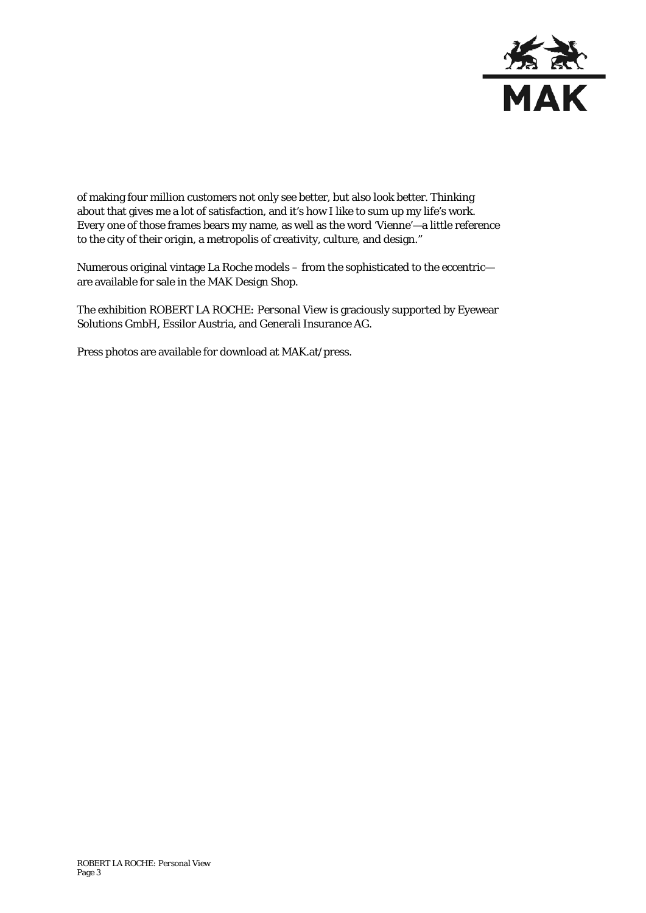

of making four million customers not only see better, but also look better. Thinking about that gives me a lot of satisfaction, and it's how I like to sum up my life's work. Every one of those frames bears my name, as well as the word 'Vienne'—a little reference to the city of their origin, a metropolis of creativity, culture, and design."

Numerous original vintage La Roche models – from the sophisticated to the eccentric are available for sale in the MAK Design Shop.

The exhibition *ROBERT LA ROCHE: Personal View* is graciously supported by Eyewear Solutions GmbH, Essilor Austria, and Generali Insurance AG.

Press photos are available for download at MAK.at/press.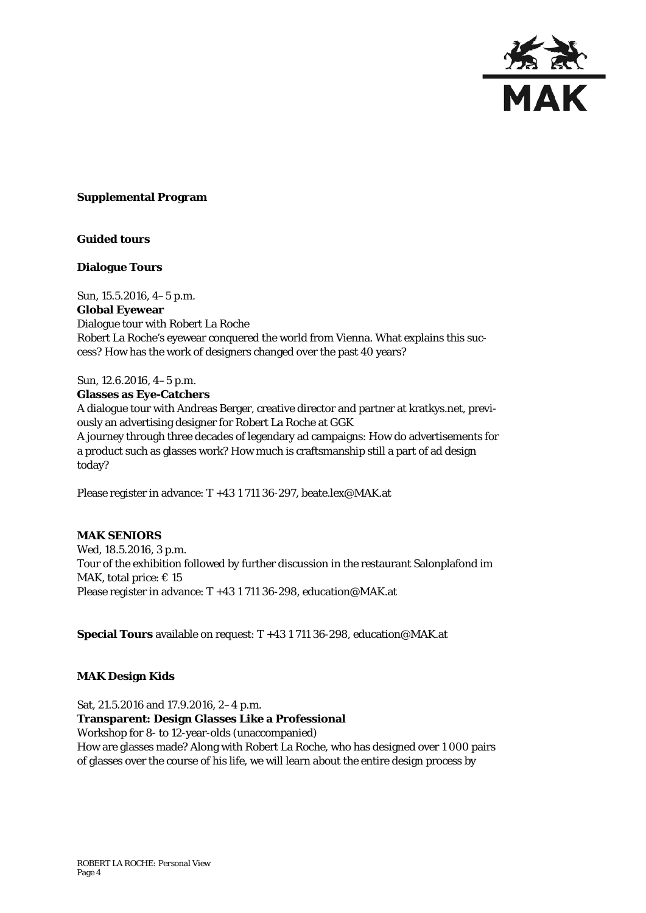

#### **Supplemental Program**

#### **Guided tours**

#### **Dialogue Tours**

Sun, 15.5.2016, 4–5 p.m. **Global Eyewear** Dialogue tour with Robert La Roche Robert La Roche's eyewear conquered the world from Vienna. What explains this success? How has the work of designers changed over the past 40 years?

Sun, 12.6.2016, 4–5 p.m. **Glasses as Eye-Catchers** A dialogue tour with Andreas Berger, creative director and partner at kratkys.net, previously an advertising designer for Robert La Roche at GGK A journey through three decades of legendary ad campaigns: How do advertisements for a product such as glasses work? How much is craftsmanship still a part of ad design today?

Please register in advance: T +43 1 711 36-297, beate.lex@MAK.at

#### **MAK SENIORS**

Wed, 18.5.2016, 3 p.m. Tour of the exhibition followed by further discussion in the restaurant Salonplafond im MAK, total price:  $\in$  15 Please register in advance: T +43 1 711 36-298, education@MAK.at

**Special Tours** available on request: T +43 1 711 36-298, [education@MAK.at](mailto:education@MAK.at)

#### **MAK Design Kids**

Sat, 21.5.2016 and 17.9.2016, 2–4 p.m. **Transparent: Design Glasses Like a Professional** Workshop for 8- to 12-year-olds (unaccompanied) How are glasses made? Along with Robert La Roche, who has designed over 1 000 pairs of glasses over the course of his life, we will learn about the entire design process by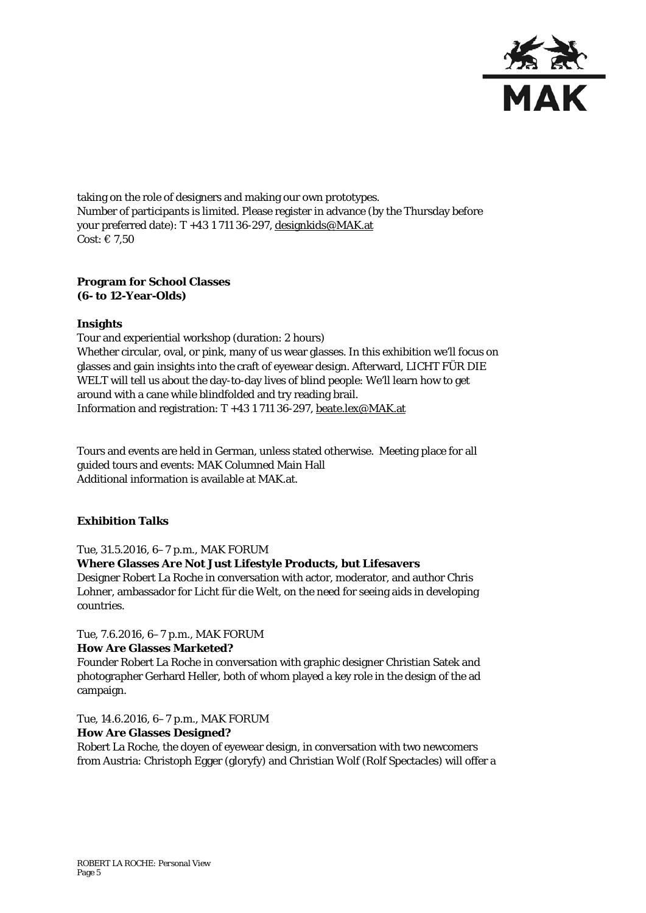

taking on the role of designers and making our own prototypes. Number of participants is limited. Please register in advance (by the Thursday before your preferred date): T +43 1 711 36-297, [designkids@MAK.at](mailto:designkids@MAK.at) Cost:  $\in 7.50$ 

### **Program for School Classes (6- to 12-Year-Olds)**

### **Insights**

Tour and experiential workshop (duration: 2 hours) Whether circular, oval, or pink, many of us wear glasses. In this exhibition we'll focus on glasses and gain insights into the craft of eyewear design. Afterward, LICHT FÜR DIE WELT will tell us about the day-to-day lives of blind people: We'll learn how to get around with a cane while blindfolded and try reading brail. Information and registration: T +43 1 711 36-297, [beate.lex@MAK.at](mailto:beate.lex@MAK.at)

Tours and events are held in German, unless stated otherwise. Meeting place for all guided tours and events: MAK Columned Main Hall Additional information is available at MAK.at.

## **Exhibition Talks**

#### Tue, 31.5.2016, 6–7 p.m., MAK FORUM

# **Where Glasses Are Not Just Lifestyle Products, but Lifesavers**

Designer Robert La Roche in conversation with actor, moderator, and author Chris Lohner, ambassador for Licht für die Welt, on the need for seeing aids in developing countries.

Tue, 7.6.2016, 6–7 p.m., MAK FORUM **How Are Glasses Marketed?**

Founder Robert La Roche in conversation with graphic designer Christian Satek and photographer Gerhard Heller, both of whom played a key role in the design of the ad campaign.

Tue, 14.6.2016, 6–7 p.m., MAK FORUM **How Are Glasses Designed?**

Robert La Roche, the doyen of eyewear design, in conversation with two newcomers from Austria: Christoph Egger (gloryfy) and Christian Wolf (Rolf Spectacles) will offer a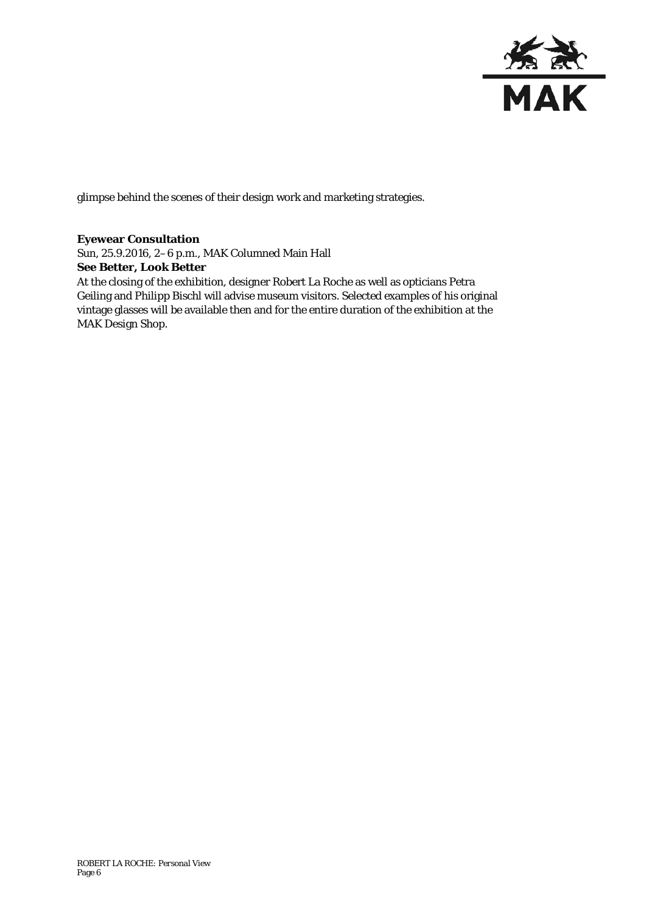

glimpse behind the scenes of their design work and marketing strategies.

### **Eyewear Consultation**

Sun, 25.9.2016, 2–6 p.m., MAK Columned Main Hall **See Better, Look Better** At the closing of the exhibition, designer Robert La Roche as well as opticians Petra Geiling and Philipp Bischl will advise museum visitors. Selected examples of his original vintage glasses will be available then and for the entire duration of the exhibition at the MAK Design Shop.